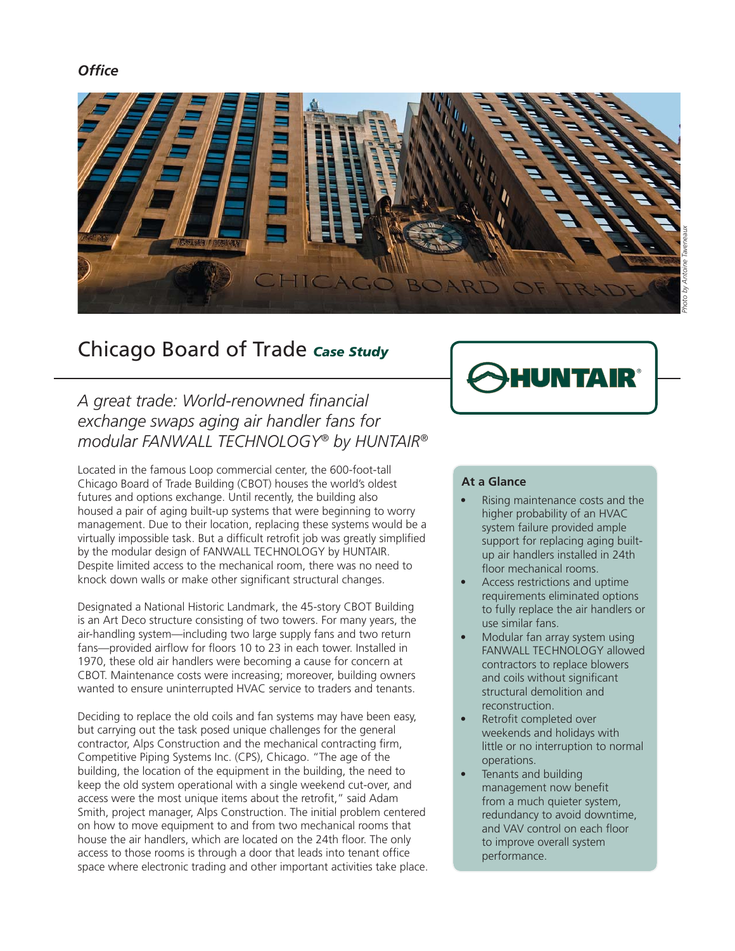### *Offi ce*



# Chicago Board of Trade *Case Study*

*A great trade: World-renowned fi nancial exchange swaps aging air handler fans for modular FANWALL TECHNOLOGY® by HUNTAIR®*

Located in the famous Loop commercial center, the 600-foot-tall Chicago Board of Trade Building (CBOT) houses the world's oldest futures and options exchange. Until recently, the building also housed a pair of aging built-up systems that were beginning to worry management. Due to their location, replacing these systems would be a virtually impossible task. But a difficult retrofit job was greatly simplified by the modular design of FANWALL TECHNOLOGY by HUNTAIR. Despite limited access to the mechanical room, there was no need to knock down walls or make other significant structural changes.

Designated a National Historic Landmark, the 45-story CBOT Building is an Art Deco structure consisting of two towers. For many years, the air-handling system—including two large supply fans and two return fans-provided airflow for floors 10 to 23 in each tower. Installed in 1970, these old air handlers were becoming a cause for concern at CBOT. Maintenance costs were increasing; moreover, building owners wanted to ensure uninterrupted HVAC service to traders and tenants.

Deciding to replace the old coils and fan systems may have been easy, but carrying out the task posed unique challenges for the general contractor, Alps Construction and the mechanical contracting firm, Competitive Piping Systems Inc. (CPS), Chicago. "The age of the building, the location of the equipment in the building, the need to keep the old system operational with a single weekend cut-over, and access were the most unique items about the retrofit," said Adam Smith, project manager, Alps Construction. The initial problem centered on how to move equipment to and from two mechanical rooms that house the air handlers, which are located on the 24th floor. The only access to those rooms is through a door that leads into tenant office space where electronic trading and other important activities take place.

#### **At a Glance**

- Rising maintenance costs and the higher probability of an HVAC system failure provided ample support for replacing aging builtup air handlers installed in 24th floor mechanical rooms.
- Access restrictions and uptime requirements eliminated options to fully replace the air handlers or use similar fans.
- Modular fan array system using FANWALL TECHNOLOGY allowed contractors to replace blowers and coils without significant structural demolition and reconstruction.
- Retrofit completed over weekends and holidays with little or no interruption to normal operations.
- Tenants and building management now benefit from a much quieter system, redundancy to avoid downtime, and VAV control on each floor to improve overall system performance.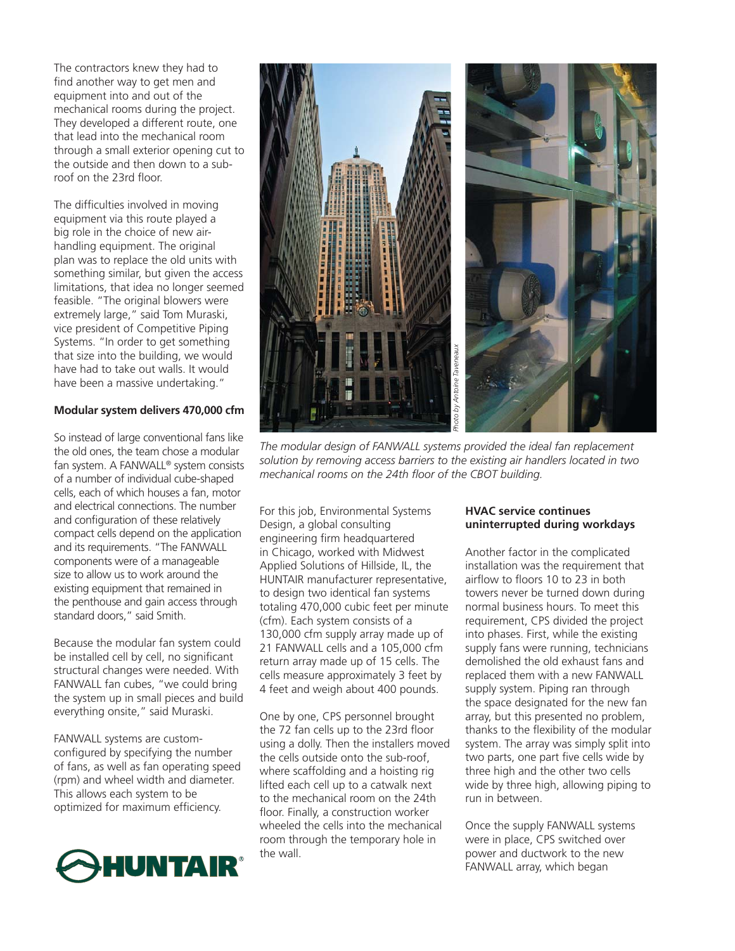The contractors knew they had to find another way to get men and equipment into and out of the mechanical rooms during the project. They developed a different route, one that lead into the mechanical room through a small exterior opening cut to the outside and then down to a subroof on the 23rd floor.

The difficulties involved in moving equipment via this route played a big role in the choice of new airhandling equipment. The original plan was to replace the old units with something similar, but given the access limitations, that idea no longer seemed feasible. "The original blowers were extremely large," said Tom Muraski, vice president of Competitive Piping Systems. "In order to get something that size into the building, we would have had to take out walls. It would have been a massive undertaking."

#### **Modular system delivers 470,000 cfm**

So instead of large conventional fans like the old ones, the team chose a modular fan system. A FANWALL® system consists of a number of individual cube-shaped cells, each of which houses a fan, motor and electrical connections. The number and configuration of these relatively compact cells depend on the application and its requirements. "The FANWALL components were of a manageable size to allow us to work around the existing equipment that remained in the penthouse and gain access through standard doors," said Smith.

Because the modular fan system could be installed cell by cell, no significant structural changes were needed. With FANWALL fan cubes, "we could bring the system up in small pieces and build everything onsite," said Muraski.

FANWALL systems are customconfigured by specifying the number of fans, as well as fan operating speed (rpm) and wheel width and diameter. This allows each system to be optimized for maximum efficiency.





*The modular design of FANWALL systems provided the ideal fan replacement solution by removing access barriers to the existing air handlers located in two* 

For this job, Environmental Systems Design, a global consulting engineering firm headquartered in Chicago, worked with Midwest Applied Solutions of Hillside, IL, the HUNTAIR manufacturer representative, to design two identical fan systems totaling 470,000 cubic feet per minute (cfm). Each system consists of a 130,000 cfm supply array made up of 21 FANWALL cells and a 105,000 cfm return array made up of 15 cells. The cells measure approximately 3 feet by 4 feet and weigh about 400 pounds.

One by one, CPS personnel brought the 72 fan cells up to the 23rd floor using a dolly. Then the installers moved the cells outside onto the sub-roof, where scaffolding and a hoisting rig lifted each cell up to a catwalk next to the mechanical room on the 24th floor. Finally, a construction worker wheeled the cells into the mechanical room through the temporary hole in the wall.

#### **HVAC service continues uninterrupted during workdays**

Another factor in the complicated installation was the requirement that airflow to floors 10 to 23 in both towers never be turned down during normal business hours. To meet this requirement, CPS divided the project into phases. First, while the existing supply fans were running, technicians demolished the old exhaust fans and replaced them with a new FANWALL supply system. Piping ran through the space designated for the new fan array, but this presented no problem, thanks to the flexibility of the modular system. The array was simply split into two parts, one part five cells wide by three high and the other two cells wide by three high, allowing piping to run in between.

Once the supply FANWALL systems were in place, CPS switched over power and ductwork to the new FANWALL array, which began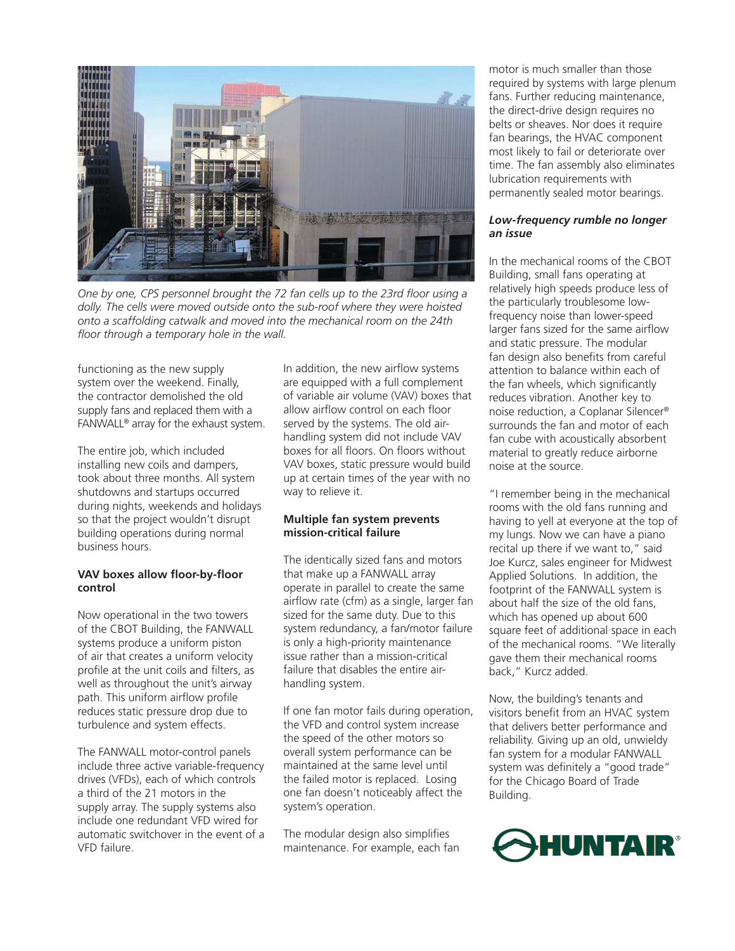

*One by one, CPS personnel brought the 72 fan cells up to the 23rd floor using a dolly. The cells were moved outside onto the sub-roof where they were hoisted onto a scaffolding catwalk and moved into the mechanical room on the 24th floor through a temporary hole in the wall.* 

functioning as the new supply system over the weekend. Finally, the contractor demolished the old supply fans and replaced them with a FANWALL® array for the exhaust system.

The entire job, which included installing new coils and dampers, took about three months. All system shutdowns and startups occurred during nights, weekends and holidays so that the project wouldn't disrupt building operations during normal business hours.

#### **VAV boxes allow floor-by-floor control**

Now operational in the two towers of the CBOT Building, the FANWALL systems produce a uniform piston of air that creates a uniform velocity profile at the unit coils and filters, as well as throughout the unit's airway path. This uniform airflow profile reduces static pressure drop due to turbulence and system effects.

The FANWALL motor-control panels include three active variable-frequency drives (VFDs), each of which controls a third of the 21 motors in the supply array. The supply systems also include one redundant VFD wired for automatic switchover in the event of a VFD failure.

In addition, the new airflow systems are equipped with a full complement of variable air volume (VAV) boxes that allow airflow control on each floor served by the systems. The old airhandling system did not include VAV boxes for all floors. On floors without VAV boxes, static pressure would build up at certain times of the year with no way to relieve it.

#### **Multiple fan system prevents mission-critical failure**

The identically sized fans and motors that make up a FANWALL array operate in parallel to create the same airflow rate (cfm) as a single, larger fan sized for the same duty. Due to this system redundancy, a fan/motor failure is only a high-priority maintenance issue rather than a mission-critical failure that disables the entire airhandling system.

If one fan motor fails during operation, the VFD and control system increase the speed of the other motors so overall system performance can be maintained at the same level until the failed motor is replaced. Losing one fan doesn't noticeably affect the system's operation.

The modular design also simplifies maintenance. For example, each fan

motor is much smaller than those required by systems with large plenum fans. Further reducing maintenance, the direct-drive design requires no belts or sheaves. Nor does it require fan bearings, the HVAC component most likely to fail or deteriorate over time. The fan assembly also eliminates lubrication requirements with permanently sealed motor bearings.

#### *Low-frequency rumble no longer an issue*

In the mechanical rooms of the CBOT Building, small fans operating at relatively high speeds produce less of the particularly troublesome lowfrequency noise than lower-speed larger fans sized for the same airflow and static pressure. The modular fan design also benefits from careful attention to balance within each of the fan wheels, which significantly reduces vibration. Another key to noise reduction, a Coplanar Silencer® surrounds the fan and motor of each fan cube with acoustically absorbent material to greatly reduce airborne noise at the source.

"I remember being in the mechanical rooms with the old fans running and having to yell at everyone at the top of my lungs. Now we can have a piano recital up there if we want to," said Joe Kurcz, sales engineer for Midwest Applied Solutions. In addition, the footprint of the FANWALL system is about half the size of the old fans, which has opened up about 600 square feet of additional space in each of the mechanical rooms. "We literally gave them their mechanical rooms back," Kurcz added.

Now, the building's tenants and visitors benefit from an HVAC system that delivers better performance and reliability. Giving up an old, unwieldy fan system for a modular FANWALL system was definitely a "good trade" for the Chicago Board of Trade Building.